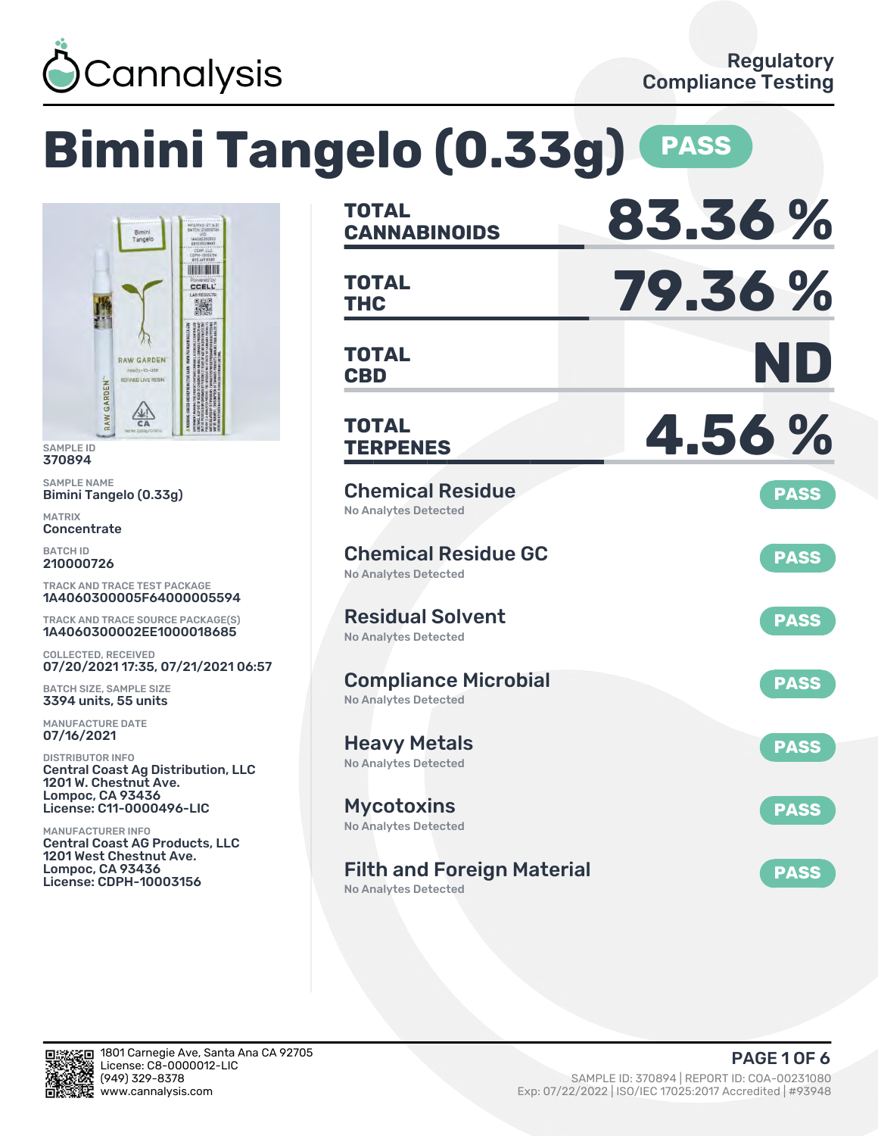

Tangelo

RAW GARDENT REFINED LIVE RESIN

 $rac{\sqrt{4N}}{6A}$ 

### **Bimini Tangelo (0.33g) PASS CANNABINOIDS 83.36 % TOTAL HOME BOOK THC 79.36 % TOTAL** CCELL **CBD ND TOTAL TERPENES 4.56 % TOTAL** Chemical Residue **PASS** No Analytes Detected Chemical Residue GC **PASS** No Analytes Detected TRACK AND TRACE TEST PACKAGE 1A4060300005F64000005594 Residual Solvent TRACK AND TRACE SOURCE PACKAGE(S) **PASS** 1A4060300002EE1000018685 No Analytes Detected 07/20/2021 17:35, 07/21/2021 06:57 Compliance Microbial **PASS** No Analytes Detected Heavy Metals **PASS** No Analytes Detected Central Coast Ag Distribution, LLC License: C11-0000496-LIC Mycotoxins **PASS** No Analytes Detected Central Coast AG Products, LLC Filth and Foreign Material **PASS** License: CDPH-10003156

No Analytes Detected



SAMPLE ID 370894 SAMPLE NAME

MATRIX **Concentrate** BATCH ID 210000726

Bimini Tangelo (0.33g)

RAW GARDEN

COLLECTED, RECEIVED

BATCH SIZE, SAMPLE SIZE 3394 units, 55 units MANUFACTURE DATE 07/16/2021 DISTRIBUTOR INFO

1201 W. Chestnut Ave. Lompoc, CA 93436

1201 West Chestnut Ave. Lompoc, CA 93436

MANUFACTURER INFO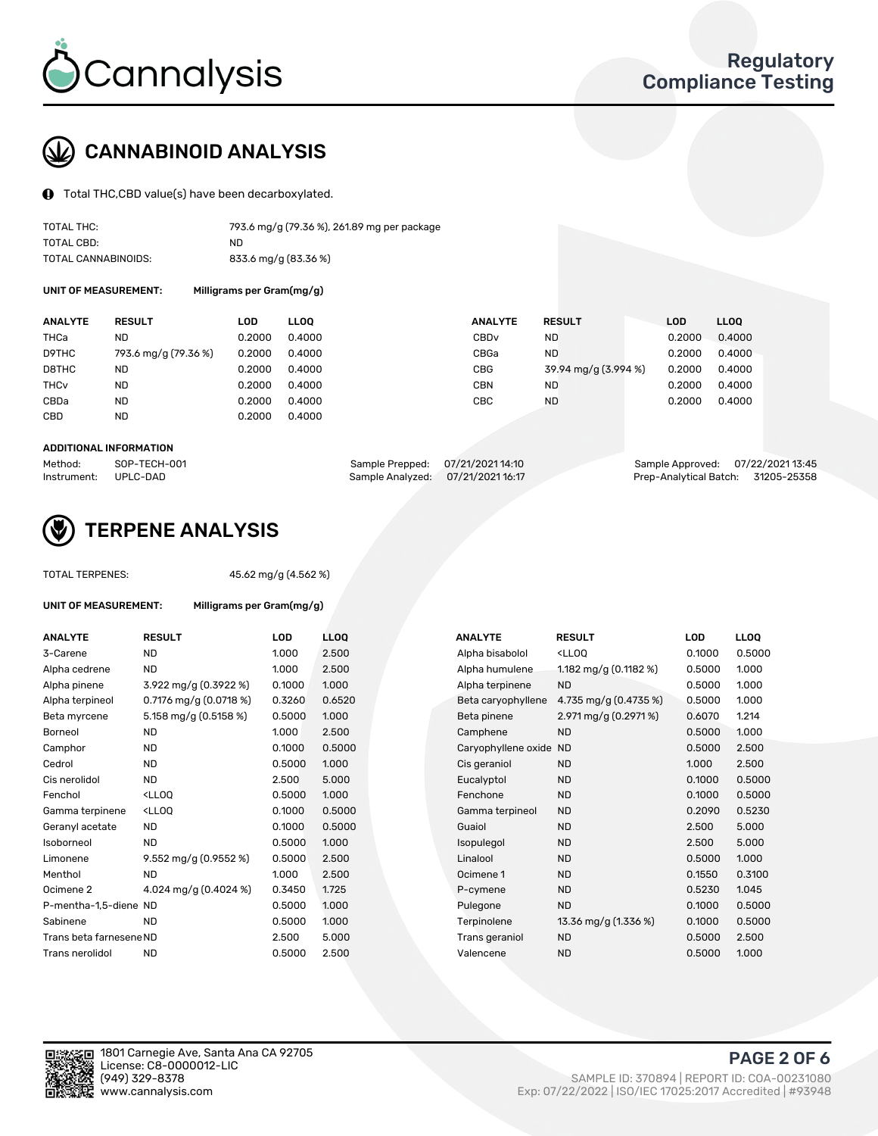

# CANNABINOID ANALYSIS

Total THC,CBD value(s) have been decarboxylated.

| TOTAL THC:          | 793.6 mg/g (79.36 %), 261.89 mg per package |
|---------------------|---------------------------------------------|
| TOTAL CBD:          | ND.                                         |
| TOTAL CANNABINOIDS: | 833.6 mg/g (83.36 %)                        |

UNIT OF MEASUREMENT: Milligrams per Gram(mg/g)

| <b>ANALYTE</b> | <b>RESULT</b>        | LOD    | <b>LLOO</b> | <b>ANALYTE</b>   | <b>RESULT</b>        | LOD    | LL <sub>00</sub> |
|----------------|----------------------|--------|-------------|------------------|----------------------|--------|------------------|
| THCa           | ND                   | 0.2000 | 0.4000      | CBD <sub>v</sub> | <b>ND</b>            | 0.2000 | 0.4000           |
| D9THC          | 793.6 mg/g (79.36 %) | 0.2000 | 0.4000      | CBGa             | <b>ND</b>            | 0.2000 | 0.4000           |
| D8THC          | <b>ND</b>            | 0.2000 | 0.4000      | CBG              | 39.94 mg/g (3.994 %) | 0.2000 | 0.4000           |
| THCv           | ND                   | 0.2000 | 0.4000      | <b>CBN</b>       | ND.                  | 0.2000 | 0.4000           |
| CBDa           | <b>ND</b>            | 0.2000 | 0.4000      | CBC              | <b>ND</b>            | 0.2000 | 0.4000           |
| CBD            | <b>ND</b>            | 0.2000 | 0.4000      |                  |                      |        |                  |
|                |                      |        |             |                  |                      |        |                  |

#### ADDITIONAL INFORMATION

| Method:              | SOP-TECH-001 | Sample Prepped: 07/21/2021 14:10  | Sample Approved: 07/22/202113:45   |  |
|----------------------|--------------|-----------------------------------|------------------------------------|--|
| Instrument: UPLC-DAD |              | Sample Analyzed: 07/21/2021 16:17 | Prep-Analytical Batch: 31205-25358 |  |



# TERPENE ANALYSIS

| <b>TOTAL TERPENES:</b>      | 45.62 mg/g (4.562 %)                              |        |                   |  |  |  |  |  |  |
|-----------------------------|---------------------------------------------------|--------|-------------------|--|--|--|--|--|--|
| <b>UNIT OF MEASUREMENT:</b> | Milligrams per Gram(mg/g)                         |        |                   |  |  |  |  |  |  |
| <b>ANALYTE</b>              | <b>RESULT</b>                                     | LOD    | <b>LLO</b>        |  |  |  |  |  |  |
| 3-Carene                    | <b>ND</b>                                         | 1.000  | 2.50              |  |  |  |  |  |  |
| Alpha cedrene               | <b>ND</b>                                         | 1.000  | 2.50              |  |  |  |  |  |  |
| Alpha pinene                | 3.922 mg/g (0.3922 %)                             | 0.1000 | 1.00              |  |  |  |  |  |  |
| Alpha terpineol             | 0.7176 mg/g $(0.0718\%)$                          | 0.3260 | 0.65              |  |  |  |  |  |  |
| Beta myrcene                | 5.158 mg/g (0.5158 %)                             | 0.5000 | 1.00 <sub>1</sub> |  |  |  |  |  |  |
| Borneol                     | <b>ND</b>                                         | 1.000  | 2.50              |  |  |  |  |  |  |
| Camphor                     | <b>ND</b>                                         | 0.1000 | 0.50              |  |  |  |  |  |  |
| Cedrol                      | <b>ND</b>                                         | 0.5000 | 1.00              |  |  |  |  |  |  |
| Cis nerolidol               | <b>ND</b>                                         | 2.500  | 5.00              |  |  |  |  |  |  |
| Fenchol                     | <ll00< td=""><td>0.5000</td><td>1.00</td></ll00<> | 0.5000 | 1.00              |  |  |  |  |  |  |
| Gamma terpinene             | <lloo< td=""><td>0.1000</td><td>0.50</td></lloo<> | 0.1000 | 0.50              |  |  |  |  |  |  |
| Geranyl acetate             | <b>ND</b>                                         | 0.1000 | 0.50              |  |  |  |  |  |  |
| Isoborneol                  | <b>ND</b>                                         | 0.5000 | 1.00 <sub>1</sub> |  |  |  |  |  |  |
| Limonene                    | 9.552 mg/g $(0.9552\%)$                           | 0.5000 | 2.50              |  |  |  |  |  |  |
| Menthol                     | <b>ND</b>                                         | 1.000  | 2.50              |  |  |  |  |  |  |
| Ocimene <sub>2</sub>        | 4.024 mg/g (0.4024 %)                             | 0.3450 | 1.725             |  |  |  |  |  |  |
| P-mentha-1,5-diene ND       |                                                   | 0.5000 | 1.00              |  |  |  |  |  |  |
| Sabinene                    | <b>ND</b>                                         | 0.5000 | 1.00 <sub>1</sub> |  |  |  |  |  |  |
| Trans beta farnesene ND     |                                                   | 2.500  | 5.00              |  |  |  |  |  |  |
| Trans nerolidol             | <b>ND</b>                                         | 0.5000 | 2.50              |  |  |  |  |  |  |
|                             |                                                   |        |                   |  |  |  |  |  |  |

| <b>ANALYTE</b>          | <b>RESULT</b>                                                                                                               | <b>LOD</b> | <b>LLOQ</b> | <b>ANALYTE</b>         | <b>RESULT</b>                                       | <b>LOD</b> | <b>LLOQ</b> |
|-------------------------|-----------------------------------------------------------------------------------------------------------------------------|------------|-------------|------------------------|-----------------------------------------------------|------------|-------------|
| 3-Carene                | <b>ND</b>                                                                                                                   | 1.000      | 2.500       | Alpha bisabolol        | <lloq< td=""><td>0.1000</td><td>0.5000</td></lloq<> | 0.1000     | 0.5000      |
| Alpha cedrene           | <b>ND</b>                                                                                                                   | 1.000      | 2.500       | Alpha humulene         | 1.182 mg/g (0.1182 %)                               | 0.5000     | 1.000       |
| Alpha pinene            | 3.922 mg/g (0.3922 %)                                                                                                       | 0.1000     | 1.000       | Alpha terpinene        | <b>ND</b>                                           | 0.5000     | 1.000       |
| Alpha terpineol         | 0.7176 mg/g $(0.0718\%)$                                                                                                    | 0.3260     | 0.6520      | Beta caryophyllene     | 4.735 mg/g $(0.4735\%)$                             | 0.5000     | 1.000       |
| Beta myrcene            | 5.158 mg/g (0.5158 %)                                                                                                       | 0.5000     | 1.000       | Beta pinene            | $2.971 \,\mathrm{mg/g}$ (0.2971 %)                  | 0.6070     | 1.214       |
| Borneol                 | <b>ND</b>                                                                                                                   | 1.000      | 2.500       | Camphene               | <b>ND</b>                                           | 0.5000     | 1.000       |
| Camphor                 | <b>ND</b>                                                                                                                   | 0.1000     | 0.5000      | Caryophyllene oxide ND |                                                     | 0.5000     | 2.500       |
| Cedrol                  | <b>ND</b>                                                                                                                   | 0.5000     | 1.000       | Cis geraniol           | <b>ND</b>                                           | 1.000      | 2.500       |
| Cis nerolidol           | <b>ND</b>                                                                                                                   | 2.500      | 5.000       | Eucalyptol             | <b>ND</b>                                           | 0.1000     | 0.5000      |
| Fenchol                 | <lloq< td=""><td>0.5000</td><td>1.000</td><td>Fenchone</td><td><b>ND</b></td><td>0.1000</td><td>0.5000</td></lloq<>         | 0.5000     | 1.000       | Fenchone               | <b>ND</b>                                           | 0.1000     | 0.5000      |
| Gamma terpinene         | <lloq< td=""><td>0.1000</td><td>0.5000</td><td>Gamma terpineol</td><td><b>ND</b></td><td>0.2090</td><td>0.5230</td></lloq<> | 0.1000     | 0.5000      | Gamma terpineol        | <b>ND</b>                                           | 0.2090     | 0.5230      |
| Geranyl acetate         | <b>ND</b>                                                                                                                   | 0.1000     | 0.5000      | Guaiol                 | <b>ND</b>                                           | 2.500      | 5.000       |
| Isoborneol              | ND                                                                                                                          | 0.5000     | 1.000       | Isopulegol             | <b>ND</b>                                           | 2.500      | 5.000       |
| Limonene                | 9.552 mg/g (0.9552 %)                                                                                                       | 0.5000     | 2.500       | Linalool               | <b>ND</b>                                           | 0.5000     | 1.000       |
| Menthol                 | <b>ND</b>                                                                                                                   | 1.000      | 2.500       | Ocimene 1              | <b>ND</b>                                           | 0.1550     | 0.3100      |
| Ocimene 2               | 4.024 mg/g (0.4024 %)                                                                                                       | 0.3450     | 1.725       | P-cymene               | <b>ND</b>                                           | 0.5230     | 1.045       |
| P-mentha-1,5-diene ND   |                                                                                                                             | 0.5000     | 1.000       | Pulegone               | <b>ND</b>                                           | 0.1000     | 0.5000      |
| Sabinene                | <b>ND</b>                                                                                                                   | 0.5000     | 1.000       | Terpinolene            | 13.36 mg/g (1.336 %)                                | 0.1000     | 0.5000      |
| Trans beta farnesene ND |                                                                                                                             | 2.500      | 5.000       | Trans geraniol         | <b>ND</b>                                           | 0.5000     | 2.500       |
| Trans nerolidol         | <b>ND</b>                                                                                                                   | 0.5000     | 2.500       | Valencene              | <b>ND</b>                                           | 0.5000     | 1.000       |
|                         |                                                                                                                             |            |             |                        |                                                     |            |             |

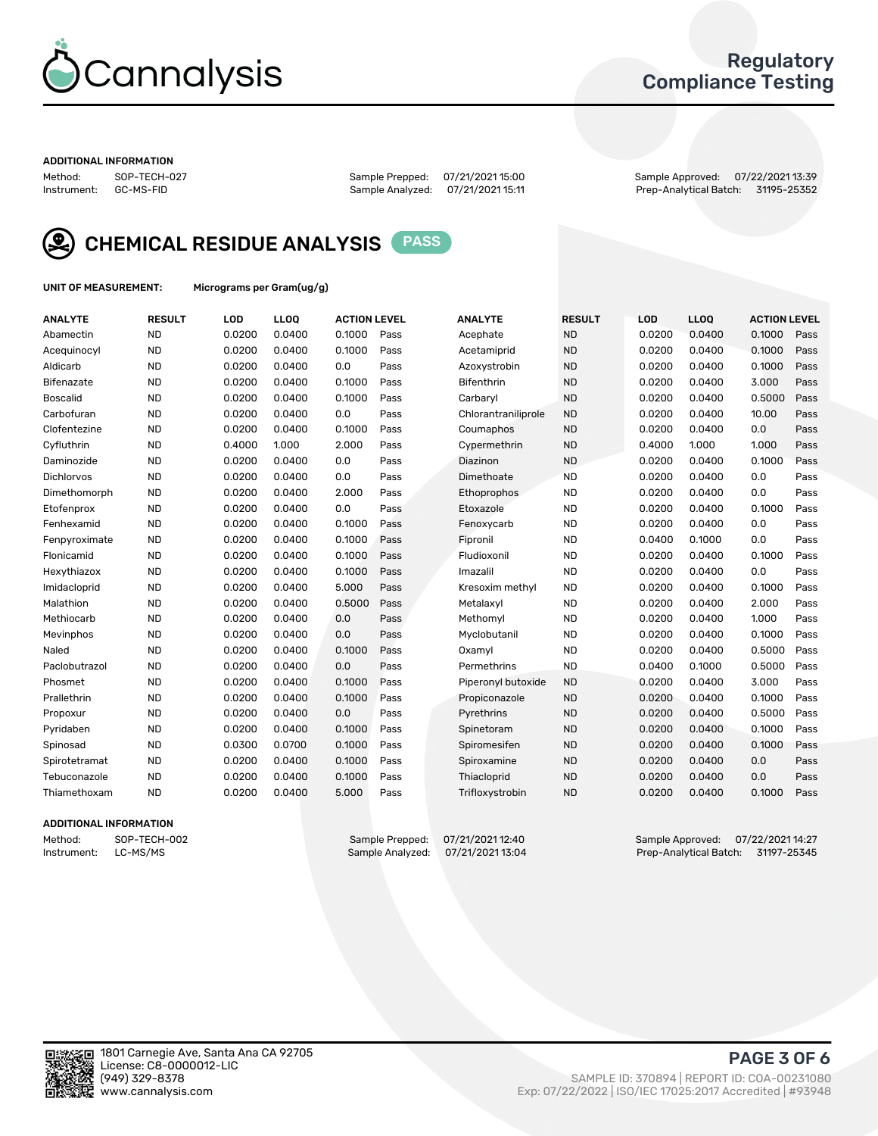

### Regulatory Compliance Testing

#### ADDITIONAL INFORMATION

Method: SOP-TECH-027 Sample Prepped: 07/21/2021 15:00 Sample Approved: 07/22/2021 13:39 Prep-Analytical Batch: 31195-25352



CHEMICAL RESIDUE ANALYSIS PASS

UNIT OF MEASUREMENT: Micrograms per Gram(ug/g)

| <b>ANALYTE</b>  | <b>RESULT</b> | LOD    | LLOQ   | <b>ACTION LEVEL</b> |      | <b>ANALYTE</b>      | <b>RESULT</b> | <b>LOD</b> | <b>LLOQ</b> | <b>ACTION LEVEL</b> |      |
|-----------------|---------------|--------|--------|---------------------|------|---------------------|---------------|------------|-------------|---------------------|------|
| Abamectin       | <b>ND</b>     | 0.0200 | 0.0400 | 0.1000              | Pass | Acephate            | <b>ND</b>     | 0.0200     | 0.0400      | 0.1000              | Pass |
| Acequinocyl     | <b>ND</b>     | 0.0200 | 0.0400 | 0.1000              | Pass | Acetamiprid         | <b>ND</b>     | 0.0200     | 0.0400      | 0.1000              | Pass |
| Aldicarb        | <b>ND</b>     | 0.0200 | 0.0400 | 0.0                 | Pass | Azoxystrobin        | <b>ND</b>     | 0.0200     | 0.0400      | 0.1000              | Pass |
| Bifenazate      | <b>ND</b>     | 0.0200 | 0.0400 | 0.1000              | Pass | Bifenthrin          | <b>ND</b>     | 0.0200     | 0.0400      | 3.000               | Pass |
| <b>Boscalid</b> | <b>ND</b>     | 0.0200 | 0.0400 | 0.1000              | Pass | Carbaryl            | <b>ND</b>     | 0.0200     | 0.0400      | 0.5000              | Pass |
| Carbofuran      | <b>ND</b>     | 0.0200 | 0.0400 | 0.0                 | Pass | Chlorantraniliprole | <b>ND</b>     | 0.0200     | 0.0400      | 10.00               | Pass |
| Clofentezine    | <b>ND</b>     | 0.0200 | 0.0400 | 0.1000              | Pass | Coumaphos           | <b>ND</b>     | 0.0200     | 0.0400      | 0.0                 | Pass |
| Cyfluthrin      | <b>ND</b>     | 0.4000 | 1.000  | 2.000               | Pass | Cypermethrin        | <b>ND</b>     | 0.4000     | 1.000       | 1.000               | Pass |
| Daminozide      | <b>ND</b>     | 0.0200 | 0.0400 | 0.0                 | Pass | Diazinon            | <b>ND</b>     | 0.0200     | 0.0400      | 0.1000              | Pass |
| Dichlorvos      | <b>ND</b>     | 0.0200 | 0.0400 | 0.0                 | Pass | Dimethoate          | <b>ND</b>     | 0.0200     | 0.0400      | 0.0                 | Pass |
| Dimethomorph    | <b>ND</b>     | 0.0200 | 0.0400 | 2.000               | Pass | Ethoprophos         | <b>ND</b>     | 0.0200     | 0.0400      | 0.0                 | Pass |
| Etofenprox      | <b>ND</b>     | 0.0200 | 0.0400 | 0.0                 | Pass | Etoxazole           | <b>ND</b>     | 0.0200     | 0.0400      | 0.1000              | Pass |
| Fenhexamid      | <b>ND</b>     | 0.0200 | 0.0400 | 0.1000              | Pass | Fenoxycarb          | <b>ND</b>     | 0.0200     | 0.0400      | 0.0                 | Pass |
| Fenpyroximate   | <b>ND</b>     | 0.0200 | 0.0400 | 0.1000              | Pass | Fipronil            | <b>ND</b>     | 0.0400     | 0.1000      | 0.0                 | Pass |
| Flonicamid      | <b>ND</b>     | 0.0200 | 0.0400 | 0.1000              | Pass | Fludioxonil         | <b>ND</b>     | 0.0200     | 0.0400      | 0.1000              | Pass |
| Hexythiazox     | <b>ND</b>     | 0.0200 | 0.0400 | 0.1000              | Pass | Imazalil            | <b>ND</b>     | 0.0200     | 0.0400      | 0.0                 | Pass |
| Imidacloprid    | <b>ND</b>     | 0.0200 | 0.0400 | 5.000               | Pass | Kresoxim methyl     | <b>ND</b>     | 0.0200     | 0.0400      | 0.1000              | Pass |
| Malathion       | <b>ND</b>     | 0.0200 | 0.0400 | 0.5000              | Pass | Metalaxyl           | <b>ND</b>     | 0.0200     | 0.0400      | 2.000               | Pass |
| Methiocarb      | <b>ND</b>     | 0.0200 | 0.0400 | 0.0                 | Pass | Methomyl            | <b>ND</b>     | 0.0200     | 0.0400      | 1.000               | Pass |
| Mevinphos       | <b>ND</b>     | 0.0200 | 0.0400 | 0.0                 | Pass | Myclobutanil        | <b>ND</b>     | 0.0200     | 0.0400      | 0.1000              | Pass |
| Naled           | <b>ND</b>     | 0.0200 | 0.0400 | 0.1000              | Pass | Oxamyl              | <b>ND</b>     | 0.0200     | 0.0400      | 0.5000              | Pass |
| Paclobutrazol   | <b>ND</b>     | 0.0200 | 0.0400 | 0.0                 | Pass | Permethrins         | <b>ND</b>     | 0.0400     | 0.1000      | 0.5000              | Pass |
| Phosmet         | <b>ND</b>     | 0.0200 | 0.0400 | 0.1000              | Pass | Piperonyl butoxide  | <b>ND</b>     | 0.0200     | 0.0400      | 3.000               | Pass |
| Prallethrin     | <b>ND</b>     | 0.0200 | 0.0400 | 0.1000              | Pass | Propiconazole       | <b>ND</b>     | 0.0200     | 0.0400      | 0.1000              | Pass |
| Propoxur        | <b>ND</b>     | 0.0200 | 0.0400 | 0.0                 | Pass | Pyrethrins          | <b>ND</b>     | 0.0200     | 0.0400      | 0.5000              | Pass |
| Pyridaben       | <b>ND</b>     | 0.0200 | 0.0400 | 0.1000              | Pass | Spinetoram          | <b>ND</b>     | 0.0200     | 0.0400      | 0.1000              | Pass |
| Spinosad        | <b>ND</b>     | 0.0300 | 0.0700 | 0.1000              | Pass | Spiromesifen        | <b>ND</b>     | 0.0200     | 0.0400      | 0.1000              | Pass |
| Spirotetramat   | <b>ND</b>     | 0.0200 | 0.0400 | 0.1000              | Pass | Spiroxamine         | <b>ND</b>     | 0.0200     | 0.0400      | 0.0                 | Pass |
| Tebuconazole    | <b>ND</b>     | 0.0200 | 0.0400 | 0.1000              | Pass | Thiacloprid         | <b>ND</b>     | 0.0200     | 0.0400      | 0.0                 | Pass |
| Thiamethoxam    | <b>ND</b>     | 0.0200 | 0.0400 | 5.000               | Pass | Trifloxystrobin     | <b>ND</b>     | 0.0200     | 0.0400      | 0.1000              | Pass |

### ADDITIONAL INFORMATION

Method: SOP-TECH-002 Sample Prepped: 07/21/2021 12:40 Sample Approved: 07/22/2021 14:27<br>Instrument: LC-MS/MS Sample Analyzed: 07/21/2021 13:04 Prep-Analytical Batch: 31197-25345 Prep-Analytical Batch: 31197-25345

PAGE 3 OF 6

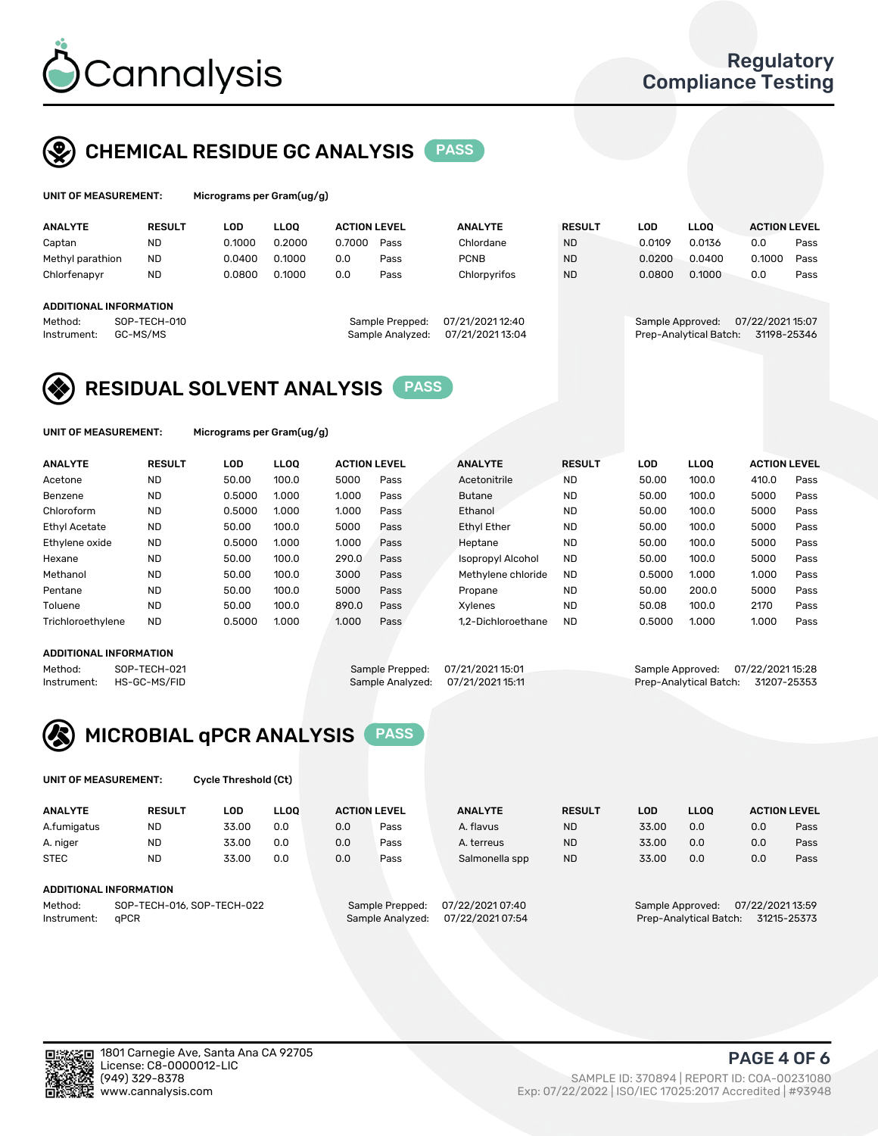

## CHEMICAL RESIDUE GC ANALYSIS PASS

| UNIT OF MEASUREMENT: | Micrograms p |
|----------------------|--------------|
|                      |              |

ver Gram(ug/g)

| <b>ANALYTE</b>                                   | <b>RESULT</b>            | LOD    | <b>LLOO</b> | <b>ACTION LEVEL</b> |                                     | <b>ANALYTE</b>                       | <b>RESULT</b> | LOD              | <b>LLOO</b>            | <b>ACTION LEVEL</b>            |      |
|--------------------------------------------------|--------------------------|--------|-------------|---------------------|-------------------------------------|--------------------------------------|---------------|------------------|------------------------|--------------------------------|------|
| Captan                                           | <b>ND</b>                | 0.1000 | 0.2000      | 0.7000              | Pass                                | Chlordane                            | <b>ND</b>     | 0.0109           | 0.0136                 | 0.0                            | Pass |
| Methyl parathion                                 | <b>ND</b>                | 0.0400 | 0.1000      | 0.0                 | Pass                                | <b>PCNB</b>                          | <b>ND</b>     | 0.0200           | 0.0400                 | 0.1000                         | Pass |
| Chlorfenapyr                                     | <b>ND</b>                | 0.0800 | 0.1000      | 0.0                 | Pass                                | Chlorpyrifos                         | <b>ND</b>     | 0.0800           | 0.1000                 | 0.0                            | Pass |
| ADDITIONAL INFORMATION<br>Method:<br>Instrument: | SOP-TECH-010<br>GC-MS/MS |        |             |                     | Sample Prepped:<br>Sample Analyzed: | 07/21/2021 12:40<br>07/21/2021 13:04 |               | Sample Approved: | Prep-Analytical Batch: | 07/22/202115:07<br>31198-25346 |      |

## RESIDUAL SOLVENT ANALYSIS PASS

UNIT OF MEASUREMENT: Micrograms per Gram(ug/g)

| <b>ANALYTE</b>       | <b>RESULT</b> | LOD    | <b>LLOO</b> | <b>ACTION LEVEL</b> |      | <b>ANALYTE</b>           | <b>RESULT</b> | LOD    | <b>LLOO</b> | <b>ACTION LEVEL</b> |      |
|----------------------|---------------|--------|-------------|---------------------|------|--------------------------|---------------|--------|-------------|---------------------|------|
| Acetone              | <b>ND</b>     | 50.00  | 100.0       | 5000                | Pass | Acetonitrile             | <b>ND</b>     | 50.00  | 100.0       | 410.0               | Pass |
| Benzene              | <b>ND</b>     | 0.5000 | 1.000       | 1.000               | Pass | <b>Butane</b>            | <b>ND</b>     | 50.00  | 100.0       | 5000                | Pass |
| Chloroform           | <b>ND</b>     | 0.5000 | 1.000       | 1.000               | Pass | Ethanol                  | <b>ND</b>     | 50.00  | 100.0       | 5000                | Pass |
| <b>Ethyl Acetate</b> | <b>ND</b>     | 50.00  | 100.0       | 5000                | Pass | <b>Ethyl Ether</b>       | <b>ND</b>     | 50.00  | 100.0       | 5000                | Pass |
| Ethylene oxide       | <b>ND</b>     | 0.5000 | 1.000       | 1.000               | Pass | Heptane                  | <b>ND</b>     | 50.00  | 100.0       | 5000                | Pass |
| Hexane               | <b>ND</b>     | 50.00  | 100.0       | 290.0               | Pass | <b>Isopropyl Alcohol</b> | <b>ND</b>     | 50.00  | 100.0       | 5000                | Pass |
| Methanol             | <b>ND</b>     | 50.00  | 100.0       | 3000                | Pass | Methylene chloride       | <b>ND</b>     | 0.5000 | 1.000       | 1.000               | Pass |
| Pentane              | <b>ND</b>     | 50.00  | 100.0       | 5000                | Pass | Propane                  | <b>ND</b>     | 50.00  | 200.0       | 5000                | Pass |
| Toluene              | <b>ND</b>     | 50.00  | 100.0       | 890.0               | Pass | Xvlenes                  | <b>ND</b>     | 50.08  | 100.0       | 2170                | Pass |
| Trichloroethylene    | <b>ND</b>     | 0.5000 | 1.000       | 1.000               | Pass | 1.2-Dichloroethane       | <b>ND</b>     | 0.5000 | 1.000       | 1.000               | Pass |

### ADDITIONAL INFORMATION

Method: SOP-TECH-021 Sample Prepped: 07/21/2021 15:01 Sample Approved: 07/22/2021 15:28<br>Instrument: HS-GC-MS/FID Sample Analyzed: 07/21/2021 15:11 Prep-Analytical Batch: 31207-25353 Prep-Analytical Batch: 31207-25353



UNIT OF MEASUREMENT: Cycle Threshold (Ct)

| <b>ANALYTE</b>                        | <b>RESULT</b>          | LOD   | <b>LLOO</b> |                 | <b>ACTION LEVEL</b> | <b>ANALYTE</b> | <b>RESULT</b> | LOD              | LL <sub>00</sub> |     | <b>ACTION LEVEL</b> |
|---------------------------------------|------------------------|-------|-------------|-----------------|---------------------|----------------|---------------|------------------|------------------|-----|---------------------|
| A.fumigatus                           | <b>ND</b>              | 33.00 | 0.0         | 0.0             | Pass                | A. flavus      | <b>ND</b>     | 33.00            | 0.0              | 0.0 | Pass                |
| A. niger                              | <b>ND</b>              | 33.00 | 0.0         | 0.0             | Pass                | A. terreus     | <b>ND</b>     | 33.00            | 0.0              | 0.0 | Pass                |
| <b>STEC</b>                           | <b>ND</b>              | 33.00 | 0.0         | 0.0             | Pass                | Salmonella spp | <b>ND</b>     | 33.00            | 0.0              | 0.0 | Pass                |
|                                       | ADDITIONAL INFORMATION |       |             |                 |                     |                |               |                  |                  |     |                     |
| SOP-TECH-016, SOP-TECH-022<br>Method: |                        |       |             | Sample Prepped: | 07/22/2021 07:40    |                |               | Sample Approved: | 07/22/2021 13:59 |     |                     |

Instrument: qPCR Sample Analyzed: 07/22/2021 07:54 Prep-Analytical Batch: 31215-25373

PAGE 4 OF 6

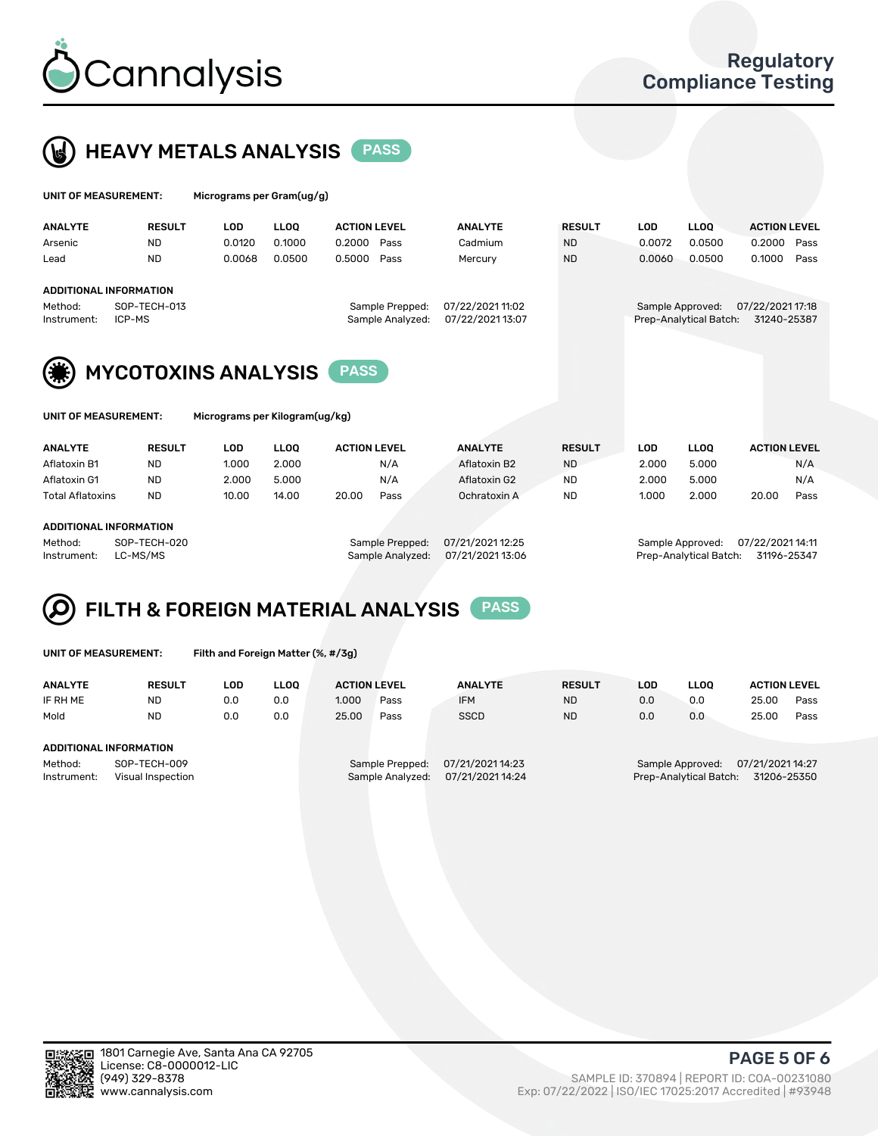



| UNIT OF MEASUREMENT:                                   |                                               | Micrograms per Gram(ug/g) |             |                     |                  |                  |               |            |                        |                     |      |
|--------------------------------------------------------|-----------------------------------------------|---------------------------|-------------|---------------------|------------------|------------------|---------------|------------|------------------------|---------------------|------|
| <b>ANALYTE</b>                                         | <b>RESULT</b>                                 | LOD.                      | <b>LLOO</b> | <b>ACTION LEVEL</b> |                  | <b>ANALYTE</b>   | <b>RESULT</b> | <b>LOD</b> | <b>LLOQ</b>            | <b>ACTION LEVEL</b> |      |
| Arsenic                                                | <b>ND</b>                                     | 0.0120                    | 0.1000      | 0.2000              | Pass             | Cadmium          | <b>ND</b>     | 0.0072     | 0.0500                 | 0.2000              | Pass |
| Lead                                                   | <b>ND</b>                                     | 0.0068                    | 0.0500      | 0.5000              | Pass             | Mercury          | <b>ND</b>     | 0.0060     | 0.0500                 | 0.1000              | Pass |
| Method:                                                | <b>ADDITIONAL INFORMATION</b><br>SOP-TECH-013 |                           |             |                     | Sample Prepped:  | 07/22/2021 11:02 |               |            | Sample Approved:       | 07/22/2021 17:18    |      |
| Instrument:                                            | ICP-MS                                        |                           |             |                     | Sample Analyzed: | 07/22/202113:07  |               |            | Prep-Analytical Batch: | 31240-25387         |      |
| <b>MYCOTOXINS ANALYSIS</b><br><b>PASS</b>              |                                               |                           |             |                     |                  |                  |               |            |                        |                     |      |
| Micrograms per Kilogram(ug/kg)<br>UNIT OF MEASUREMENT: |                                               |                           |             |                     |                  |                  |               |            |                        |                     |      |

| <b>ANALYTE</b>          | <b>RESULT</b> | LOD   | <b>LLOO</b> | <b>ACTION LEVEL</b> |      | <b>ANALYTE</b> | <b>RESULT</b> | LOD   | <b>LLOO</b> | <b>ACTION LEVEL</b> |      |
|-------------------------|---------------|-------|-------------|---------------------|------|----------------|---------------|-------|-------------|---------------------|------|
| Aflatoxin B1            | ND            | 1.000 | 2.000       |                     | N/A  | Aflatoxin B2   | <b>ND</b>     | 2.000 | 5.000       |                     | N/A  |
| Aflatoxin G1            | <b>ND</b>     | 2.000 | 5.000       |                     | N/A  | Aflatoxin G2   | <b>ND</b>     | 2.000 | 5.000       |                     | N/A  |
| <b>Total Aflatoxins</b> | <b>ND</b>     | 10.00 | 14.00       | 20.00               | Pass | Ochratoxin A   | <b>ND</b>     | 1.000 | 2.000       | 20.00               | Pass |
|                         |               |       |             |                     |      |                |               |       |             |                     |      |
| ADDITIONAL INFORMATION  |               |       |             |                     |      |                |               |       |             |                     |      |

Method: SOP-TECH-020 Sample Prepped: 07/21/2021 12:25 Sample Approved: 07/22/2021 14:11 Instrument: LC-MS/MS Sample Analyzed: 07/21/2021 13:06 Prep-Analytical Batch: 31196-25347

#### FILTH & FOREIGN MATERIAL ANALYSIS PASS Q

UNIT OF MEASUREMENT: Filth and Foreign Matter (%, #/3g)

| <b>ANALYTE</b>                                              | <b>RESULT</b> | LOD | <b>LLOO</b> | <b>ACTION LEVEL</b>                                                         |      | <b>ANALYTE</b> | <b>RESULT</b> | LOD                                                                           | <b>LLOO</b> | <b>ACTION LEVEL</b> |      |
|-------------------------------------------------------------|---------------|-----|-------------|-----------------------------------------------------------------------------|------|----------------|---------------|-------------------------------------------------------------------------------|-------------|---------------------|------|
| IF RH ME                                                    | <b>ND</b>     | 0.0 | 0.0         | 1.000                                                                       | Pass | <b>IFM</b>     | <b>ND</b>     | 0.0                                                                           | 0.0         | 25.00               | Pass |
| Mold                                                        | <b>ND</b>     | 0.0 | 0.0         | 25.00                                                                       | Pass | <b>SSCD</b>    | <b>ND</b>     | 0.0                                                                           | 0.0         | 25.00               | Pass |
| ADDITIONAL INFORMATION                                      |               |     |             |                                                                             |      |                |               |                                                                               |             |                     |      |
| Method:<br>SOP-TECH-009<br>Instrument:<br>Visual Inspection |               |     |             | 07/21/2021 14:23<br>Sample Prepped:<br>07/21/2021 14:24<br>Sample Analyzed: |      |                |               | 07/21/2021 14:27<br>Sample Approved:<br>Prep-Analytical Batch:<br>31206-25350 |             |                     |      |



PAGE 5 OF 6